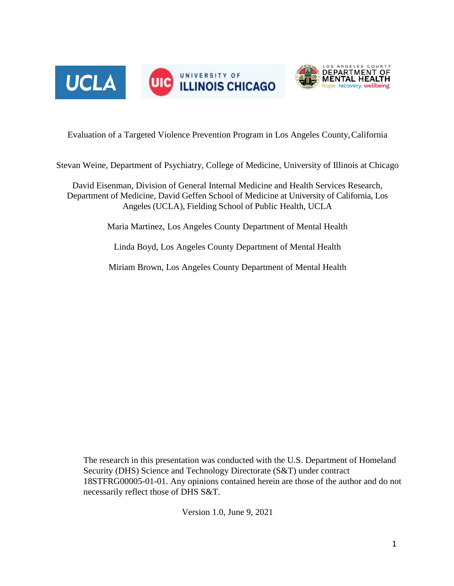



Evaluation of a Targeted Violence Prevention Program in Los Angeles County, California

Stevan Weine, Department of Psychiatry, College of Medicine, University of Illinois at Chicago

David Eisenman, Division of General Internal Medicine and Health Services Research, Department of Medicine, David Geffen School of Medicine at University of California, Los Angeles (UCLA), Fielding School of Public Health, UCLA

Maria Martinez, Los Angeles County Department of Mental Health

Linda Boyd, Los Angeles County Department of Mental Health

Miriam Brown, Los Angeles County Department of Mental Health

The research in this presentation was conducted with the U.S. Department of Homeland Security (DHS) Science and Technology Directorate (S&T) under contract 18STFRG00005-01-01. Any opinions contained herein are those of the author and do not necessarily reflect those of DHS S&T.

Version 1.0, June 9, 2021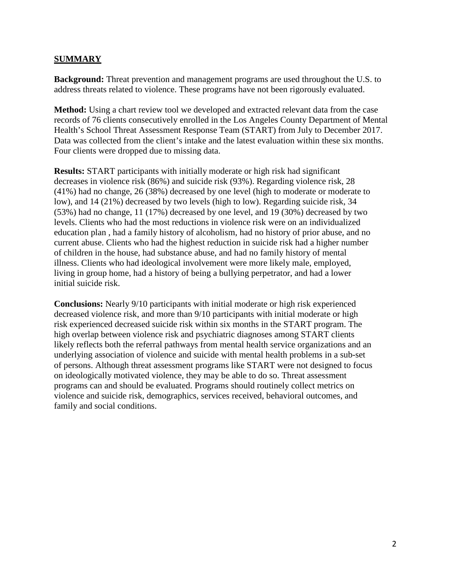#### **SUMMARY**

**Background:** Threat prevention and management programs are used throughout the U.S. to address threats related to violence. These programs have not been rigorously evaluated.

**Method:** Using a chart review tool we developed and extracted relevant data from the case records of 76 clients consecutively enrolled in the Los Angeles County Department of Mental Health's School Threat Assessment Response Team (START) from July to December 2017. Data was collected from the client's intake and the latest evaluation within these six months. Four clients were dropped due to missing data.

**Results:** START participants with initially moderate or high risk had significant decreases in violence risk (86%) and suicide risk (93%). Regarding violence risk, 28 (41%) had no change, 26 (38%) decreased by one level (high to moderate or moderate to low), and 14 (21%) decreased by two levels (high to low). Regarding suicide risk, 34 (53%) had no change, 11 (17%) decreased by one level, and 19 (30%) decreased by two levels. Clients who had the most reductions in violence risk were on an individualized education plan , had a family history of alcoholism, had no history of prior abuse, and no current abuse. Clients who had the highest reduction in suicide risk had a higher number of children in the house, had substance abuse, and had no family history of mental illness. Clients who had ideological involvement were more likely male, employed, living in group home, had a history of being a bullying perpetrator, and had a lower initial suicide risk.

**Conclusions:** Nearly 9/10 participants with initial moderate or high risk experienced decreased violence risk, and more than 9/10 participants with initial moderate or high risk experienced decreased suicide risk within six months in the START program. The high overlap between violence risk and psychiatric diagnoses among START clients likely reflects both the referral pathways from mental health service organizations and an underlying association of violence and suicide with mental health problems in a sub-set of persons. Although threat assessment programs like START were not designed to focus on ideologically motivated violence, they may be able to do so. Threat assessment programs can and should be evaluated. Programs should routinely collect metrics on violence and suicide risk, demographics, services received, behavioral outcomes, and family and social conditions.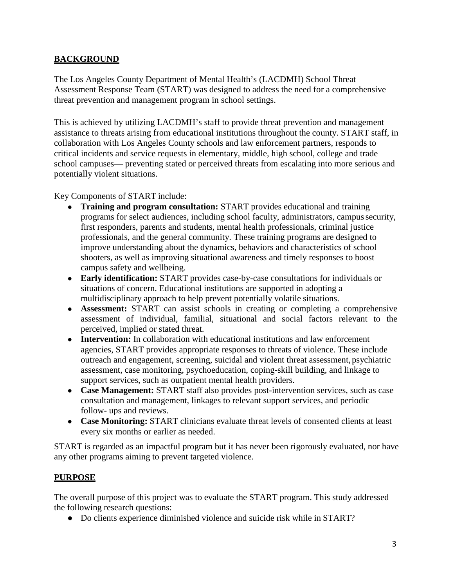# **BACKGROUND**

The Los Angeles County Department of Mental Health's (LACDMH) School Threat Assessment Response Team (START) was designed to address the need for a comprehensive threat prevention and management program in school settings.

This is achieved by utilizing LACDMH's staff to provide threat prevention and management assistance to threats arising from educational institutions throughout the county. START staff, in collaboration with Los Angeles County schools and law enforcement partners, responds to critical incidents and service requests in elementary, middle, high school, college and trade school campuses— preventing stated or perceived threats from escalating into more serious and potentially violent situations.

Key Components of START include:

- **Training and program consultation:** START provides educational and training programs for select audiences, including school faculty, administrators, campus security, first responders, parents and students, mental health professionals, criminal justice professionals, and the general community. These training programs are designed to improve understanding about the dynamics, behaviors and characteristics of school shooters, as well as improving situational awareness and timely responses to boost campus safety and wellbeing.
- **Early identification:** START provides case-by-case consultations for individuals or situations of concern. Educational institutions are supported in adopting a multidisciplinary approach to help prevent potentially volatile situations.
- **Assessment:** START can assist schools in creating or completing a comprehensive assessment of individual, familial, situational and social factors relevant to the perceived, implied or stated threat.
- **Intervention:** In collaboration with educational institutions and law enforcement agencies, START provides appropriate responses to threats of violence. These include outreach and engagement, screening, suicidal and violent threat assessment,psychiatric assessment, case monitoring, psychoeducation, coping-skill building, and linkage to support services, such as outpatient mental health providers.
- **Case Management:** START staff also provides post-intervention services, such as case consultation and management, linkages to relevant support services, and periodic follow- ups and reviews.
- **Case Monitoring:** START clinicians evaluate threat levels of consented clients at least every six months or earlier as needed.

START is regarded as an impactful program but it has never been rigorously evaluated, nor have any other programs aiming to prevent targeted violence.

### **PURPOSE**

The overall purpose of this project was to evaluate the START program. This study addressed the following research questions:

● Do clients experience diminished violence and suicide risk while in START?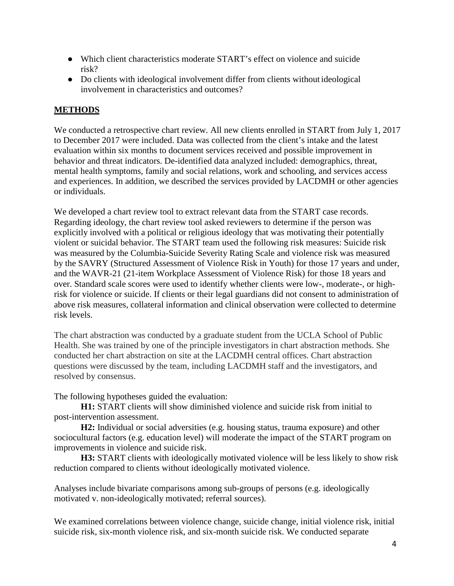- Which client characteristics moderate START's effect on violence and suicide risk?
- Do clients with ideological involvement differ from clients without ideological involvement in characteristics and outcomes?

### **METHODS**

We conducted a retrospective chart review. All new clients enrolled in START from July 1, 2017 to December 2017 were included. Data was collected from the client's intake and the latest evaluation within six months to document services received and possible improvement in behavior and threat indicators. De-identified data analyzed included: demographics, threat, mental health symptoms, family and social relations, work and schooling, and services access and experiences. In addition, we described the services provided by LACDMH or other agencies or individuals.

We developed a chart review tool to extract relevant data from the START case records. Regarding ideology, the chart review tool asked reviewers to determine if the person was explicitly involved with a political or religious ideology that was motivating their potentially violent or suicidal behavior. The START team used the following risk measures: Suicide risk was measured by the Columbia-Suicide Severity Rating Scale and violence risk was measured by the SAVRY (Structured Assessment of Violence Risk in Youth) for those 17 years and under, and the WAVR-21 (21-item Workplace Assessment of Violence Risk) for those 18 years and over. Standard scale scores were used to identify whether clients were low-, moderate-, or highrisk for violence or suicide. If clients or their legal guardians did not consent to administration of above risk measures, collateral information and clinical observation were collected to determine risk levels.

The chart abstraction was conducted by a graduate student from the UCLA School of Public Health. She was trained by one of the principle investigators in chart abstraction methods. She conducted her chart abstraction on site at the LACDMH central offices. Chart abstraction questions were discussed by the team, including LACDMH staff and the investigators, and resolved by consensus.

The following hypotheses guided the evaluation:

**H1:** START clients will show diminished violence and suicide risk from initial to post-intervention assessment.

**H2:** Individual or social adversities (e.g. housing status, trauma exposure) and other sociocultural factors (e.g. education level) will moderate the impact of the START program on improvements in violence and suicide risk.

**H3:** START clients with ideologically motivated violence will be less likely to show risk reduction compared to clients without ideologically motivated violence.

Analyses include bivariate comparisons among sub-groups of persons (e.g. ideologically motivated v. non-ideologically motivated; referral sources).

We examined correlations between violence change, suicide change, initial violence risk, initial suicide risk, six-month violence risk, and six-month suicide risk. We conducted separate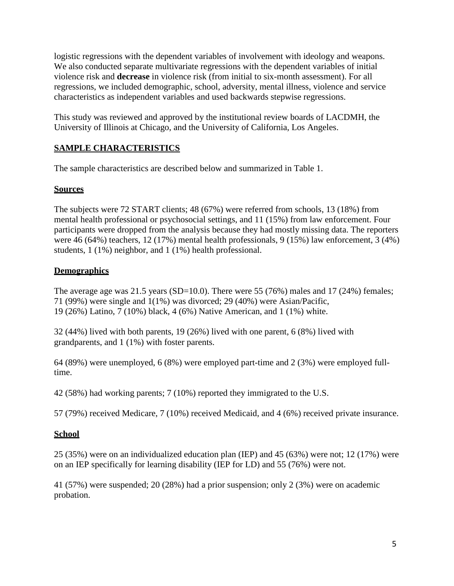logistic regressions with the dependent variables of involvement with ideology and weapons. We also conducted separate multivariate regressions with the dependent variables of initial violence risk and **decrease** in violence risk (from initial to six-month assessment). For all regressions, we included demographic, school, adversity, mental illness, violence and service characteristics as independent variables and used backwards stepwise regressions.

This study was reviewed and approved by the institutional review boards of LACDMH, the University of Illinois at Chicago, and the University of California, Los Angeles.

# **SAMPLE CHARACTERISTICS**

The sample characteristics are described below and summarized in Table 1.

### **Sources**

The subjects were 72 START clients; 48 (67%) were referred from schools, 13 (18%) from mental health professional or psychosocial settings, and 11 (15%) from law enforcement. Four participants were dropped from the analysis because they had mostly missing data. The reporters were 46 (64%) teachers, 12 (17%) mental health professionals, 9 (15%) law enforcement, 3 (4%) students, 1 (1%) neighbor, and 1 (1%) health professional.

# **Demographics**

The average age was  $21.5$  years (SD=10.0). There were 55 (76%) males and 17 (24%) females; 71 (99%) were single and 1(1%) was divorced; 29 (40%) were Asian/Pacific, 19 (26%) Latino, 7 (10%) black, 4 (6%) Native American, and 1 (1%) white.

32 (44%) lived with both parents, 19 (26%) lived with one parent, 6 (8%) lived with grandparents, and 1 (1%) with foster parents.

64 (89%) were unemployed, 6 (8%) were employed part-time and 2 (3%) were employed fulltime.

42 (58%) had working parents; 7 (10%) reported they immigrated to the U.S.

57 (79%) received Medicare, 7 (10%) received Medicaid, and 4 (6%) received private insurance.

# **School**

25 (35%) were on an individualized education plan (IEP) and 45 (63%) were not; 12 (17%) were on an IEP specifically for learning disability (IEP for LD) and 55 (76%) were not.

41 (57%) were suspended; 20 (28%) had a prior suspension; only 2 (3%) were on academic probation.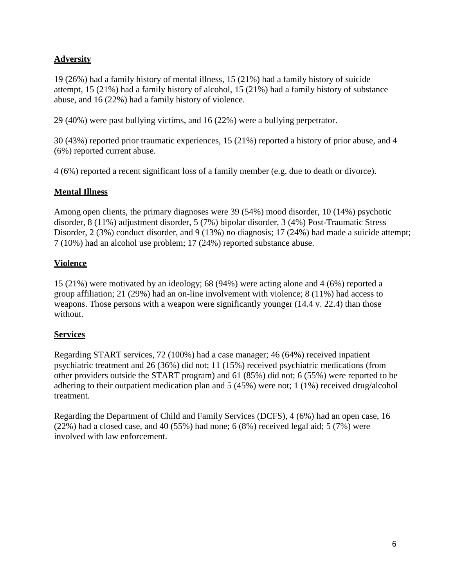# **Adversity**

19 (26%) had a family history of mental illness, 15 (21%) had a family history of suicide attempt, 15 (21%) had a family history of alcohol, 15 (21%) had a family history of substance abuse, and 16 (22%) had a family history of violence.

29 (40%) were past bullying victims, and 16 (22%) were a bullying perpetrator.

30 (43%) reported prior traumatic experiences, 15 (21%) reported a history of prior abuse, and 4 (6%) reported current abuse.

4 (6%) reported a recent significant loss of a family member (e.g. due to death or divorce).

# **Mental Illness**

Among open clients, the primary diagnoses were 39 (54%) mood disorder, 10 (14%) psychotic disorder, 8 (11%) adjustment disorder, 5 (7%) bipolar disorder, 3 (4%) Post-Traumatic Stress Disorder, 2 (3%) conduct disorder, and 9 (13%) no diagnosis; 17 (24%) had made a suicide attempt; 7 (10%) had an alcohol use problem; 17 (24%) reported substance abuse.

# **Violence**

15 (21%) were motivated by an ideology; 68 (94%) were acting alone and 4 (6%) reported a group affiliation; 21 (29%) had an on-line involvement with violence; 8 (11%) had access to weapons. Those persons with a weapon were significantly younger (14.4 v. 22.4) than those without.

# **Services**

Regarding START services, 72 (100%) had a case manager; 46 (64%) received inpatient psychiatric treatment and 26 (36%) did not; 11 (15%) received psychiatric medications (from other providers outside the START program) and 61 (85%) did not; 6 (55%) were reported to be adhering to their outpatient medication plan and 5 (45%) were not; 1 (1%) received drug/alcohol treatment.

Regarding the Department of Child and Family Services (DCFS), 4 (6%) had an open case, 16 (22%) had a closed case, and 40 (55%) had none; 6 (8%) received legal aid; 5 (7%) were involved with law enforcement.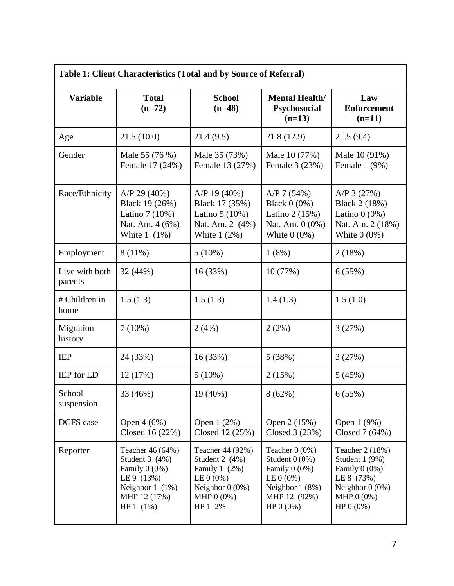| Table 1: Client Characteristics (Total and by Source of Referral) |                                                                                                                         |                                                                                                                         |                                                                                                                           |                                                                                                                        |  |
|-------------------------------------------------------------------|-------------------------------------------------------------------------------------------------------------------------|-------------------------------------------------------------------------------------------------------------------------|---------------------------------------------------------------------------------------------------------------------------|------------------------------------------------------------------------------------------------------------------------|--|
| <b>Variable</b>                                                   | <b>Total</b><br>$(n=72)$                                                                                                | <b>School</b><br>$(n=48)$                                                                                               | <b>Mental Health/</b><br>Psychosocial<br>$(n=13)$                                                                         | Law<br><b>Enforcement</b><br>$(n=11)$                                                                                  |  |
| Age                                                               | 21.5(10.0)                                                                                                              | 21.4(9.5)                                                                                                               | 21.8(12.9)                                                                                                                | 21.5(9.4)                                                                                                              |  |
| Gender                                                            | Male 55 (76 %)<br>Female 17 (24%)                                                                                       | Male 35 (73%)<br>Female 13 (27%)                                                                                        | Male 10 (77%)<br>Female 3 (23%)                                                                                           | Male 10 (91%)<br>Female 1 (9%)                                                                                         |  |
| Race/Ethnicity                                                    | $A/P$ 29 (40%)<br>Black 19 (26%)<br>Latino 7 (10%)<br>Nat. Am. 4 (6%)<br>White $1(1\%)$                                 | $A/P$ 19 (40%)<br>Black 17 (35%)<br>Latino $5(10\%)$<br>Nat. Am. 2 (4%)<br>White $1(2\%)$                               | $A/P$ 7 (54%)<br><b>Black 0 (0%)</b><br>Latino 2 (15%)<br>Nat. Am. 0 (0%)<br>White $0(0\%)$                               | $A/P$ 3 (27%)<br>Black 2 (18%)<br>Latino $0(0\%)$<br>Nat. Am. 2 (18%)<br>White $0(0\%)$                                |  |
| Employment                                                        | $8(11\%)$                                                                                                               | $5(10\%)$                                                                                                               | 1(8%)                                                                                                                     | 2(18%)                                                                                                                 |  |
| Live with both<br>parents                                         | 32 (44%)                                                                                                                | 16 (33%)                                                                                                                | 10 (77%)                                                                                                                  | 6(55%)                                                                                                                 |  |
| # Children in<br>home                                             | 1.5(1.3)                                                                                                                | 1.5(1.3)                                                                                                                | 1.4(1.3)                                                                                                                  | 1.5(1.0)                                                                                                               |  |
| Migration<br>history                                              | $7(10\%)$                                                                                                               | 2(4%)                                                                                                                   | 2(2%)                                                                                                                     | 3(27%)                                                                                                                 |  |
| <b>IEP</b>                                                        | 24 (33%)                                                                                                                | 16 (33%)                                                                                                                | 5(38%)                                                                                                                    | 3(27%)                                                                                                                 |  |
| IEP for LD                                                        | 12 (17%)                                                                                                                | $5(10\%)$                                                                                                               | 2(15%)                                                                                                                    | 5(45%)                                                                                                                 |  |
| School<br>suspension                                              | 33 (46%)                                                                                                                | 19 (40%)                                                                                                                | 8(62%)                                                                                                                    | 6(55%)                                                                                                                 |  |
| DCFS case                                                         | Open 4 (6%)<br>Closed 16 (22%)                                                                                          | Open 1 (2%)<br>Closed 12 (25%)                                                                                          | Open 2 (15%)<br>Closed 3 (23%)                                                                                            | Open 1 (9%)<br>Closed 7 (64%)                                                                                          |  |
| Reporter                                                          | Teacher 46 (64%)<br>Student $3(4%)$<br>Family $0(0\%)$<br>LE 9 (13%)<br>Neighbor $1(1\%)$<br>MHP 12 (17%)<br>$HP1(1\%)$ | Teacher 44 (92%)<br>Student 2 $(4%)$<br>Family $1(2\%)$<br>$LE 0 (0\%)$<br>Neighbor $0(0\%)$<br>MHP $0(0\%)$<br>HP 1 2% | Teacher $0(0\%)$<br>Student $0(0\%)$<br>Family $0(0\%)$<br>LE $0(0\%)$<br>Neighbor 1 (8%)<br>MHP 12 (92%)<br>$HP 0 (0\%)$ | Teacher 2 (18%)<br>Student 1 (9%)<br>Family $0(0\%)$<br>LE 8 (73%)<br>Neighbor $0(0\%)$<br>MHP $0(0\%)$<br>HP $0(0\%)$ |  |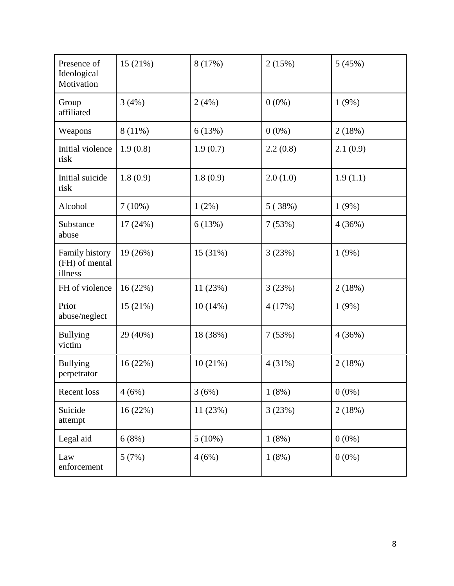| Presence of<br>Ideological<br>Motivation    | 15(21%)   | 8 (17%)   | 2(15%)   | 5(45%)   |
|---------------------------------------------|-----------|-----------|----------|----------|
| Group<br>affiliated                         | 3(4%)     | 2(4%)     | $0(0\%)$ | 1(9%)    |
| Weapons                                     | $8(11\%)$ | 6(13%)    | $0(0\%)$ | 2(18%)   |
| Initial violence<br>risk                    | 1.9(0.8)  | 1.9(0.7)  | 2.2(0.8) | 2.1(0.9) |
| Initial suicide<br>risk                     | 1.8(0.9)  | 1.8(0.9)  | 2.0(1.0) | 1.9(1.1) |
| Alcohol                                     | $7(10\%)$ | 1(2%)     | 5(38%)   | 1(9%)    |
| Substance<br>abuse                          | 17(24%)   | 6(13%)    | 7(53%)   | 4(36%)   |
| Family history<br>(FH) of mental<br>illness | 19 (26%)  | 15 (31%)  | 3(23%)   | 1(9%)    |
| FH of violence                              | 16(22%)   | 11 (23%)  | 3(23%)   | 2(18%)   |
| Prior<br>abuse/neglect                      | 15(21%)   | 10(14%)   | 4(17%)   | 1(9%)    |
| <b>Bullying</b><br>victim                   | 29 (40%)  | 18 (38%)  | 7(53%)   | 4(36%)   |
| <b>Bullying</b><br>perpetrator              | 16(22%)   | 10(21%)   | 4(31%)   | 2(18%)   |
| Recent loss                                 | 4(6%)     | 3(6%)     | 1(8%)    | $0(0\%)$ |
| Suicide<br>attempt                          | 16(22%)   | 11 (23%)  | 3(23%)   | 2(18%)   |
| Legal aid                                   | 6(8%)     | $5(10\%)$ | 1(8%)    | $0(0\%)$ |
| Law<br>enforcement                          | 5(7%)     | 4(6%)     | 1(8%)    | $0(0\%)$ |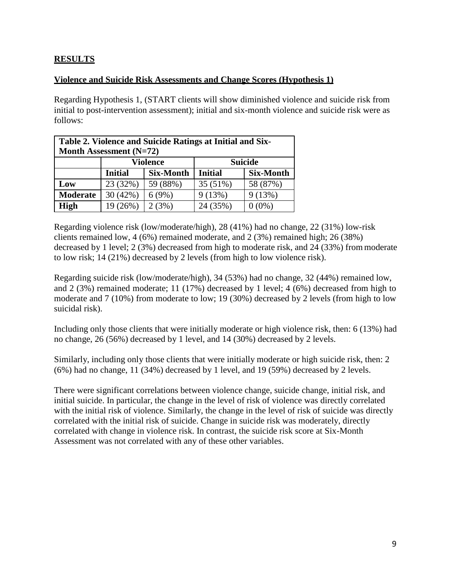### **RESULTS**

#### **Violence and Suicide Risk Assessments and Change Scores (Hypothesis 1)**

Regarding Hypothesis 1, (START clients will show diminished violence and suicide risk from initial to post-intervention assessment); initial and six-month violence and suicide risk were as follows:

| Table 2. Violence and Suicide Ratings at Initial and Six-<br>Month Assessment $(N=72)$ |                |                  |                |                  |  |
|----------------------------------------------------------------------------------------|----------------|------------------|----------------|------------------|--|
|                                                                                        | Violence       |                  | <b>Suicide</b> |                  |  |
|                                                                                        | <b>Initial</b> | <b>Six-Month</b> | <b>Initial</b> | <b>Six-Month</b> |  |
| Low                                                                                    | 23 (32%)       | 59 (88%)         | 35 (51%)       | 58 (87%)         |  |
| <b>Moderate</b>                                                                        | 30(42%)        | 6(9%)            | 9(13%)         | 9(13%)           |  |
| High                                                                                   | 19 (26%)       | 2(3%)            | 24 (35%)       | $(0\%)$          |  |

Regarding violence risk (low/moderate/high), 28 (41%) had no change, 22 (31%) low-risk clients remained low,  $4(6\%)$  remained moderate, and  $2(3\%)$  remained high; 26 (38%) decreased by 1 level; 2 (3%) decreased from high to moderate risk, and 24 (33%) from moderate to low risk; 14 (21%) decreased by 2 levels (from high to low violence risk).

Regarding suicide risk (low/moderate/high), 34 (53%) had no change, 32 (44%) remained low, and 2 (3%) remained moderate; 11 (17%) decreased by 1 level; 4 (6%) decreased from high to moderate and 7 (10%) from moderate to low; 19 (30%) decreased by 2 levels (from high to low suicidal risk).

Including only those clients that were initially moderate or high violence risk, then: 6 (13%) had no change, 26 (56%) decreased by 1 level, and 14 (30%) decreased by 2 levels.

Similarly, including only those clients that were initially moderate or high suicide risk, then: 2 (6%) had no change, 11 (34%) decreased by 1 level, and 19 (59%) decreased by 2 levels.

There were significant correlations between violence change, suicide change, initial risk, and initial suicide. In particular, the change in the level of risk of violence was directly correlated with the initial risk of violence. Similarly, the change in the level of risk of suicide was directly correlated with the initial risk of suicide. Change in suicide risk was moderately, directly correlated with change in violence risk. In contrast, the suicide risk score at Six-Month Assessment was not correlated with any of these other variables.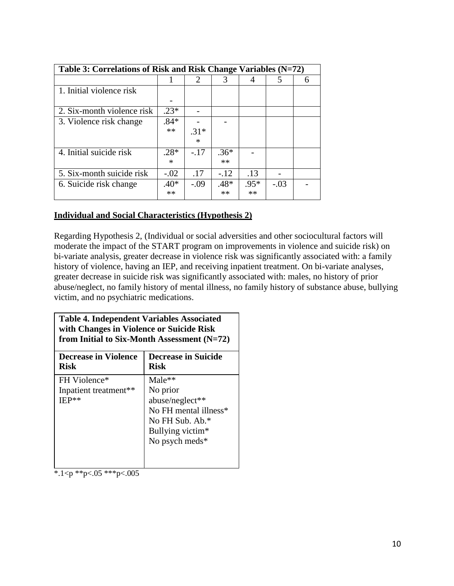| Table 3: Correlations of Risk and Risk Change Variables (N=72) |        |                             |        |        |        |  |
|----------------------------------------------------------------|--------|-----------------------------|--------|--------|--------|--|
|                                                                |        | $\mathcal{D}_{\mathcal{L}}$ | 3      |        |        |  |
| 1. Initial violence risk                                       |        |                             |        |        |        |  |
|                                                                |        |                             |        |        |        |  |
| 2. Six-month violence risk                                     | $.23*$ |                             |        |        |        |  |
| 3. Violence risk change                                        | $.84*$ |                             |        |        |        |  |
|                                                                | $**$   | $.31*$                      |        |        |        |  |
|                                                                |        | $\ast$                      |        |        |        |  |
| 4. Initial suicide risk                                        | $.28*$ | $-.17$                      | $.36*$ |        |        |  |
|                                                                | $\ast$ |                             | $**$   |        |        |  |
| 5. Six-month suicide risk                                      | $-.02$ | .17                         | $-.12$ | .13    |        |  |
| 6. Suicide risk change                                         | $.40*$ | $-.09$                      | $.48*$ | $.95*$ | $-.03$ |  |
|                                                                | $**$   |                             | $**$   | **     |        |  |

### **Individual and Social Characteristics (Hypothesis 2)**

Regarding Hypothesis 2, (Individual or social adversities and other sociocultural factors will moderate the impact of the START program on improvements in violence and suicide risk) on bi-variate analysis, greater decrease in violence risk was significantly associated with: a family history of violence, having an IEP, and receiving inpatient treatment. On bi-variate analyses, greater decrease in suicide risk was significantly associated with: males, no history of prior abuse/neglect, no family history of mental illness, no family history of substance abuse, bullying victim, and no psychiatric medications.

| <b>Table 4. Independent Variables Associated</b><br>with Changes in Violence or Suicide Risk<br>from Initial to Six-Month Assessment $(N=72)$ |                                                                                                                           |  |  |  |
|-----------------------------------------------------------------------------------------------------------------------------------------------|---------------------------------------------------------------------------------------------------------------------------|--|--|--|
| <b>Decrease in Violence</b><br><b>Risk</b>                                                                                                    | Decrease in Suicide<br><b>Risk</b>                                                                                        |  |  |  |
| FH Violence*<br>Inpatient treatment**<br>$IEP**$                                                                                              | $Male**$<br>No prior<br>abuse/neglect**<br>No FH mental illness*<br>No FH Sub. Ab.*<br>Bullying victim*<br>No psych meds* |  |  |  |

 $\frac{1}{*}$ .1<p \*\*p<.05 \*\*\*p<.005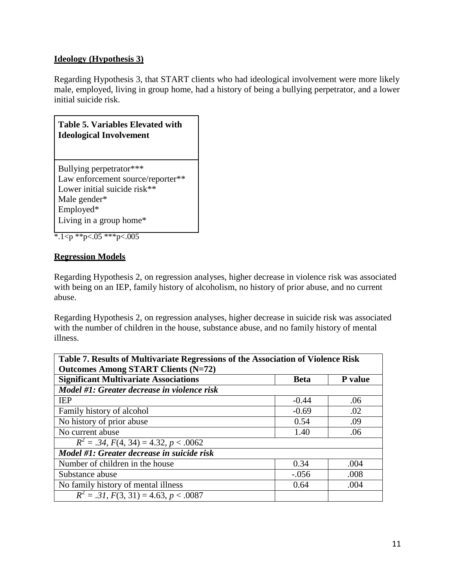### **Ideology (Hypothesis 3)**

Regarding Hypothesis 3, that START clients who had ideological involvement were more likely male, employed, living in group home, had a history of being a bullying perpetrator, and a lower initial suicide risk.

**Table 5. Variables Elevated with Ideological Involvement** 

Bullying perpetrator\*\*\* Law enforcement source/reporter\*\* Lower initial suicide risk\*\* Male gender\* Employed\* Living in a group home\*

\*.1<p \*\*p<.05 \*\*\*p<.005

### **Regression Models**

Regarding Hypothesis 2, on regression analyses, higher decrease in violence risk was associated with being on an IEP, family history of alcoholism, no history of prior abuse, and no current abuse.

Regarding Hypothesis 2, on regression analyses, higher decrease in suicide risk was associated with the number of children in the house, substance abuse, and no family history of mental illness.

| Table 7. Results of Multivariate Regressions of the Association of Violence Risk |         |      |  |  |  |
|----------------------------------------------------------------------------------|---------|------|--|--|--|
| <b>Outcomes Among START Clients (N=72)</b>                                       |         |      |  |  |  |
| <b>Significant Multivariate Associations</b><br><b>Beta</b><br>P value           |         |      |  |  |  |
| Model #1: Greater decrease in violence risk                                      |         |      |  |  |  |
| <b>IEP</b>                                                                       | $-0.44$ | .06  |  |  |  |
| Family history of alcohol                                                        | $-0.69$ | .02  |  |  |  |
| No history of prior abuse                                                        | 0.54    | .09  |  |  |  |
| No current abuse                                                                 | 1.40    | .06  |  |  |  |
| $R^2 = .34, F(4, 34) = 4.32, p < .0062$                                          |         |      |  |  |  |
| Model #1: Greater decrease in suicide risk                                       |         |      |  |  |  |
| Number of children in the house                                                  | 0.34    | .004 |  |  |  |
| Substance abuse                                                                  | $-.056$ | .008 |  |  |  |
| No family history of mental illness                                              | 0.64    | .004 |  |  |  |
| $R^2 = .31, F(3, 31) = 4.63, p < .0087$                                          |         |      |  |  |  |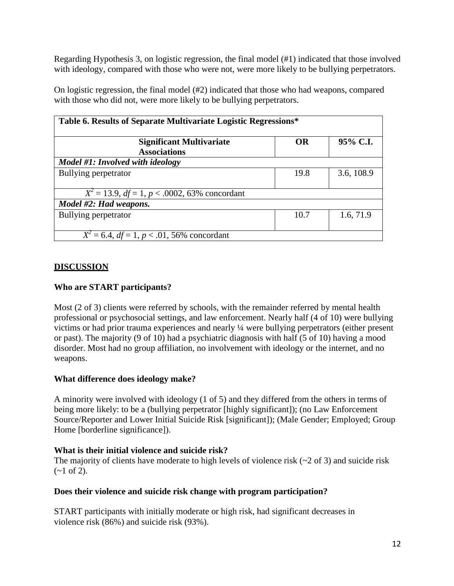Regarding Hypothesis 3, on logistic regression, the final model (#1) indicated that those involved with ideology, compared with those who were not, were more likely to be bullying perpetrators.

| Table 6. Results of Separate Multivariate Logistic Regressions* |           |            |  |  |
|-----------------------------------------------------------------|-----------|------------|--|--|
| <b>Significant Multivariate</b>                                 | <b>OR</b> | 95% C.I.   |  |  |
| <b>Associations</b>                                             |           |            |  |  |
| Model #1: Involved with ideology                                |           |            |  |  |
| Bullying perpetrator                                            | 19.8      | 3.6, 108.9 |  |  |
|                                                                 |           |            |  |  |
| $X^2 = 13.9$ , $df = 1$ , $p < .0002$ , 63% concordant          |           |            |  |  |
| Model #2: Had weapons.                                          |           |            |  |  |
| Bullying perpetrator                                            | 10.7      | 1.6, 71.9  |  |  |
|                                                                 |           |            |  |  |
| $X^2 = 6.4$ , $df = 1$ , $p < .01$ , 56% concordant             |           |            |  |  |

On logistic regression, the final model (#2) indicated that those who had weapons, compared with those who did not, were more likely to be bullying perpetrators.

#### **DISCUSSION**

#### **Who are START participants?**

Most (2 of 3) clients were referred by schools, with the remainder referred by mental health professional or psychosocial settings, and law enforcement. Nearly half (4 of 10) were bullying victims or had prior trauma experiences and nearly ¼ were bullying perpetrators (either present or past). The majority (9 of 10) had a psychiatric diagnosis with half (5 of 10) having a mood disorder. Most had no group affiliation, no involvement with ideology or the internet, and no weapons.

#### **What difference does ideology make?**

A minority were involved with ideology (1 of 5) and they differed from the others in terms of being more likely: to be a (bullying perpetrator [highly significant]); (no Law Enforcement Source/Reporter and Lower Initial Suicide Risk [significant]); (Male Gender; Employed; Group Home [borderline significance]).

#### **What is their initial violence and suicide risk?**

The majority of clients have moderate to high levels of violence risk  $(\sim 2$  of 3) and suicide risk  $(-1 \text{ of } 2)$ .

#### **Does their violence and suicide risk change with program participation?**

START participants with initially moderate or high risk, had significant decreases in violence risk (86%) and suicide risk (93%).